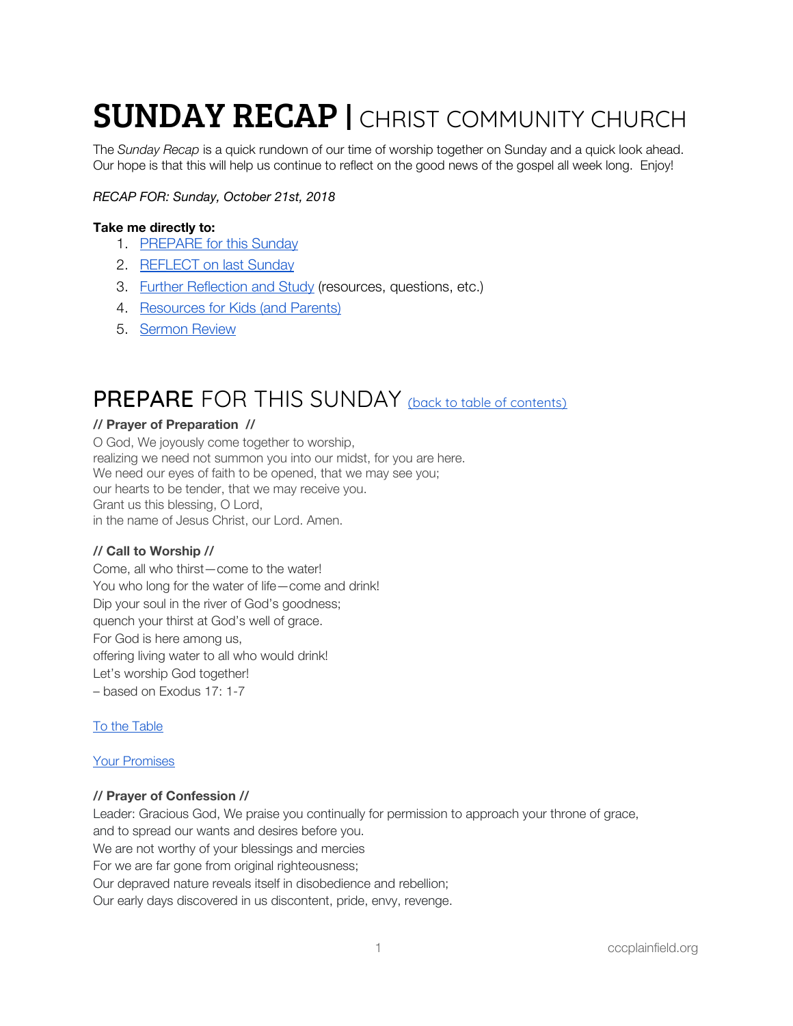# **SUNDAY RECAP | CHRIST COMMUNITY CHURCH**

The *Sunday Recap* is a quick rundown of our time of worship together on Sunday and a quick look ahead. Our hope is that this will help us continue to reflect on the good news of the gospel all week long. Enjoy!

#### *RECAP FOR: Sunday, October 21st, 2018*

#### <span id="page-0-1"></span>**Take me directly to:**

- 1. [PREPARE](#page-0-0) for this Sunday
- 2. [REFLECT](#page-2-0) on last Sunday
- 3. Further [Reflection](#page-4-0) and Study (resources, questions, etc.)
- 4. [Resources](#page-5-0) for Kids (and Parents)
- 5. [Sermon](#page-5-1) Review

### <span id="page-0-0"></span>PREPARE FOR THIS SUNDAY (back to table of [contents\)](#page-0-1)

#### **// Prayer of Preparation //**

O God, We joyously come together to worship, realizing we need not summon you into our midst, for you are here. We need our eyes of faith to be opened, that we may see you; our hearts to be tender, that we may receive you. Grant us this blessing, O Lord, in the name of Jesus Christ, our Lord. Amen.

#### **// Call to Worship //**

Come, all who thirst—come to the water! You who long for the water of life—come and drink! Dip your soul in the river of God's goodness; quench your thirst at God's well of grace. For God is here among us, offering living water to all who would drink! Let's worship God together! – based on Exodus 17: 1-7

#### To the [Table](https://open.spotify.com/track/0qriSYsqivuTCm0J8mYICj?si=vQBA-d-cSTuLjxJuBItTFw)

#### Your [Promises](https://open.spotify.com/track/7toBMKUFYgMqSoG1OnG2Bs?si=NYIi3i3nT4m77kVfgFfbAA)

#### **// Prayer of Confession //**

Leader: Gracious God, We praise you continually for permission to approach your throne of grace, and to spread our wants and desires before you. We are not worthy of your blessings and mercies For we are far gone from original righteousness; Our depraved nature reveals itself in disobedience and rebellion; Our early days discovered in us discontent, pride, envy, revenge.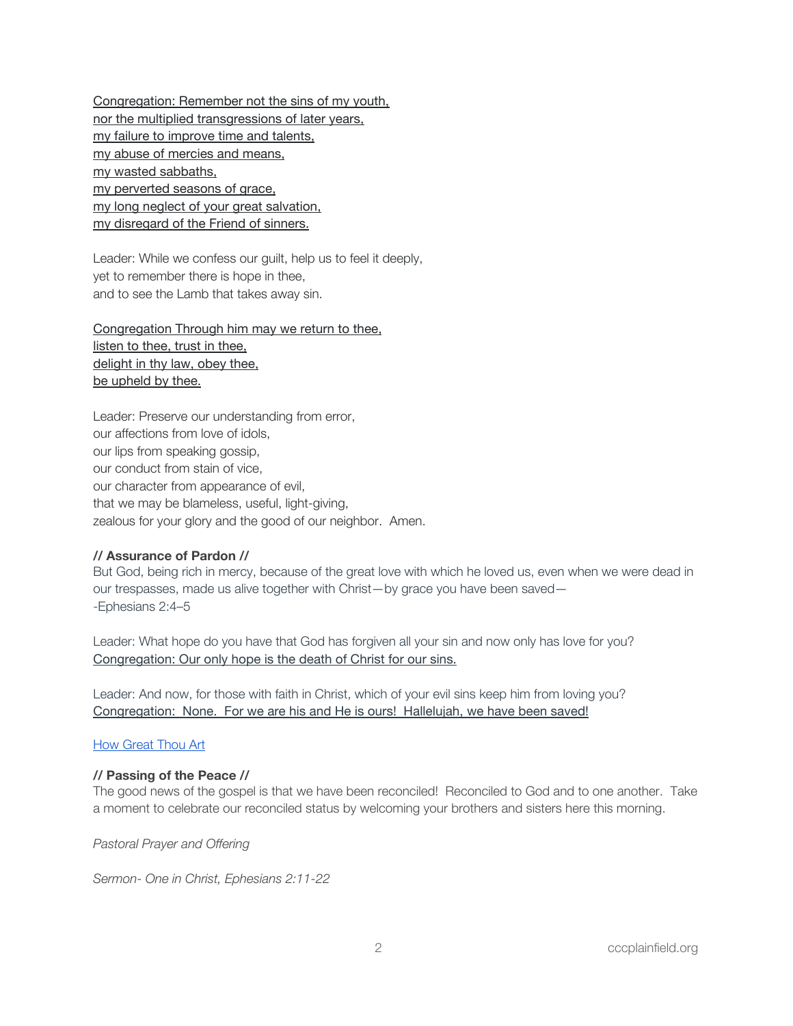Congregation: Remember not the sins of my youth, nor the multiplied transgressions of later years, my failure to improve time and talents, my abuse of mercies and means, my wasted sabbaths, my perverted seasons of grace, my long neglect of your great salvation, my disregard of the Friend of sinners.

Leader: While we confess our guilt, help us to feel it deeply, yet to remember there is hope in thee, and to see the Lamb that takes away sin.

Congregation Through him may we return to thee, listen to thee, trust in thee, delight in thy law, obey thee, be upheld by thee.

Leader: Preserve our understanding from error, our affections from love of idols, our lips from speaking gossip, our conduct from stain of vice, our character from appearance of evil, that we may be blameless, useful, light-giving, zealous for your glory and the good of our neighbor. Amen.

#### **// Assurance of Pardon //**

But God, being rich in mercy, because of the great love with which he loved us, even when we were dead in our trespasses, made us alive together with Christ—by grace you have been saved— -Ephesians 2:4–5

Leader: What hope do you have that God has forgiven all your sin and now only has love for you? Congregation: Our only hope is the death of Christ for our sins.

Leader: And now, for those with faith in Christ, which of your evil sins keep him from loving you? Congregation: None. For we are his and He is ours! Hallelujah, we have been saved!

#### **How [Great](https://open.spotify.com/track/1SnZi2eVU2kcXRNJT6ek4J?si=_1_QN8CWRUSpSZLpbQ1o9A) Thou Art**

#### **// Passing of the Peace //**

The good news of the gospel is that we have been reconciled! Reconciled to God and to one another. Take a moment to celebrate our reconciled status by welcoming your brothers and sisters here this morning.

*Pastoral Prayer and Offering*

*Sermon- One in Christ, Ephesians 2:11-22*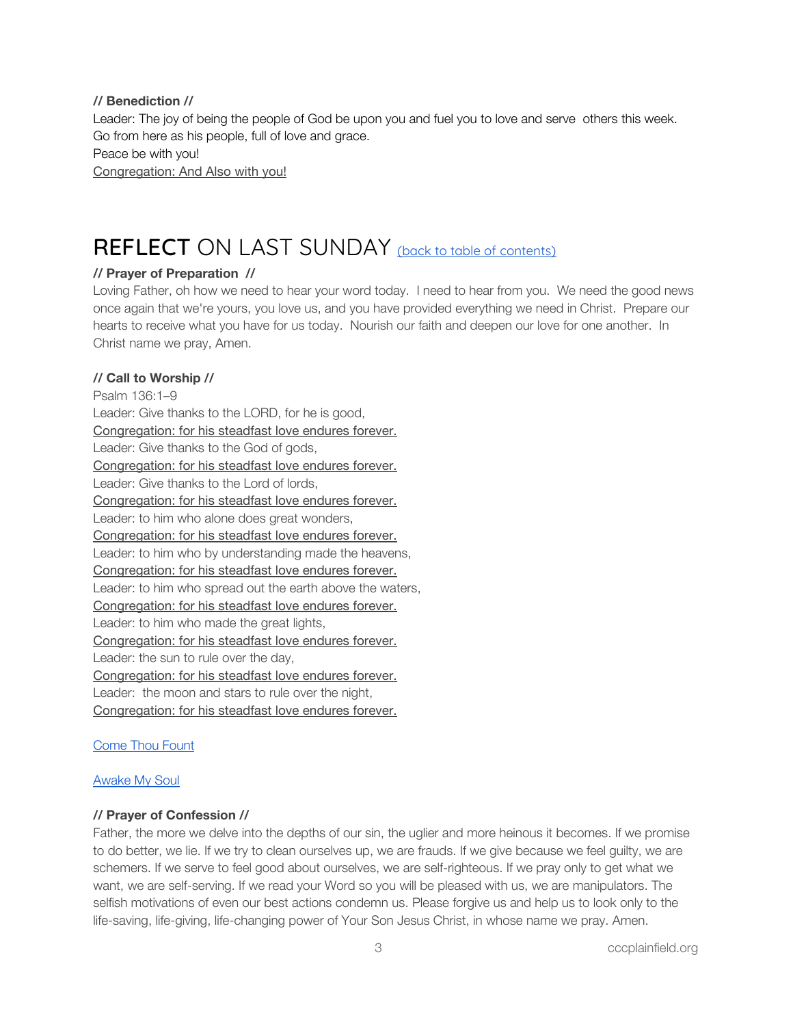#### **// Benediction //**

Leader: The joy of being the people of God be upon you and fuel you to love and serve others this week. Go from here as his people, full of love and grace. Peace be with you! Congregation: And Also with you!

### <span id="page-2-0"></span>REFLECT ON LAST SUNDAY (back to table of [contents\)](#page-0-1)

#### **// Prayer of Preparation //**

Loving Father, oh how we need to hear your word today. I need to hear from you. We need the good news once again that we're yours, you love us, and you have provided everything we need in Christ. Prepare our hearts to receive what you have for us today. Nourish our faith and deepen our love for one another. In Christ name we pray, Amen.

#### **// Call to Worship //**

Psalm 136:1–9 Leader: Give thanks to the LORD, for he is good, Congregation: for his steadfast love endures forever. Leader: Give thanks to the God of gods, Congregation: for his steadfast love endures forever. Leader: Give thanks to the Lord of lords, Congregation: for his steadfast love endures forever. Leader: to him who alone does great wonders, Congregation: for his steadfast love endures forever. Leader: to him who by understanding made the heavens, Congregation: for his steadfast love endures forever. Leader: to him who spread out the earth above the waters, Congregation: for his steadfast love endures forever. Leader: to him who made the great lights, Congregation: for his steadfast love endures forever. Leader: the sun to rule over the day, Congregation: for his steadfast love endures forever. Leader: the moon and stars to rule over the night, Congregation: for his steadfast love endures forever.

#### [Come](https://open.spotify.com/track/3TjbpRjtWYHFwigdLMr8Zl?si=LjIoXXRrRzSzQMpmg79i7w) Thou Fount

#### [Awake](https://open.spotify.com/track/4HVETDBDRT2wTfQzs5NYXv?si=Yk0fJYecTRuY1H_WaBSMRg) My Soul

#### **// Prayer of Confession //**

Father, the more we delve into the depths of our sin, the uglier and more heinous it becomes. If we promise to do better, we lie. If we try to clean ourselves up, we are frauds. If we give because we feel guilty, we are schemers. If we serve to feel good about ourselves, we are self-righteous. If we pray only to get what we want, we are self-serving. If we read your Word so you will be pleased with us, we are manipulators. The selfish motivations of even our best actions condemn us. Please forgive us and help us to look only to the life-saving, life-giving, life-changing power of Your Son Jesus Christ, in whose name we pray. Amen.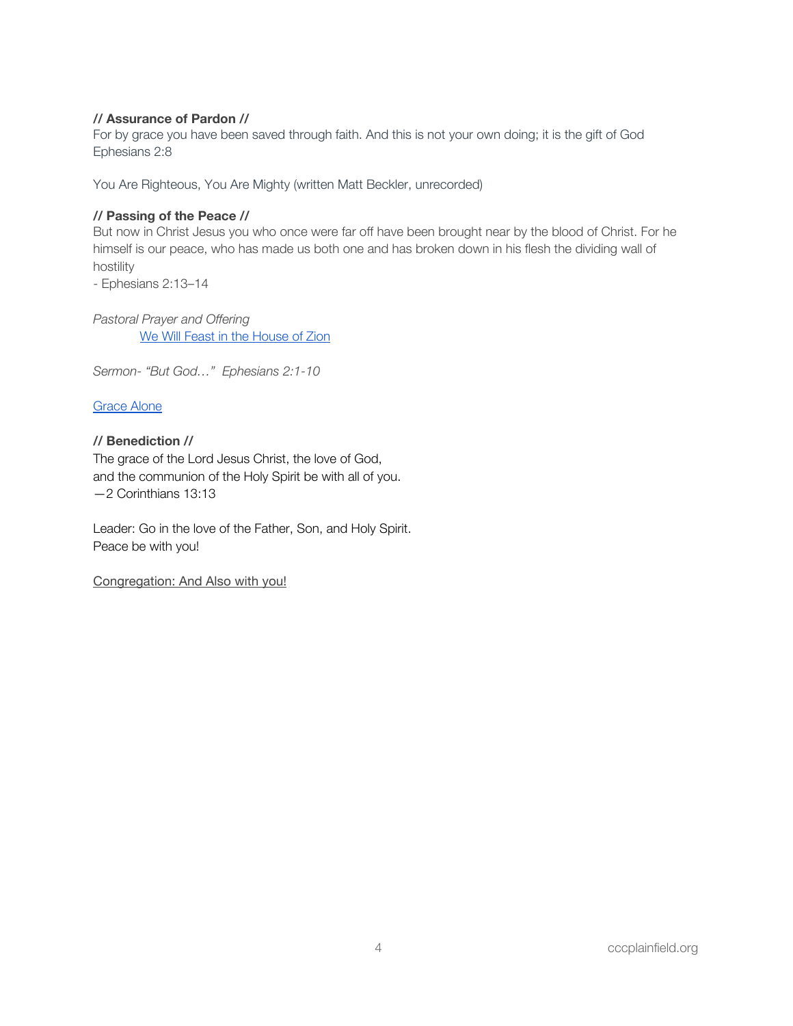#### **// Assurance of Pardon //**

For by grace you have been saved through faith. And this is not your own doing; it is the gift of God Ephesians 2:8

You Are Righteous, You Are Mighty (written Matt Beckler, unrecorded)

#### **// Passing of the Peace //**

But now in Christ Jesus you who once were far off have been brought near by the blood of Christ. For he himself is our peace, who has made us both one and has broken down in his flesh the dividing wall of hostility

- Ephesians 2:13–14

*Pastoral Prayer and Offering* We Will Feast in the [House](https://open.spotify.com/track/5NmoTlfakwip7oDOn4AvQZ?si=iR-zGrKuQ0yPGn3oe6cNFw) of Zion

*Sermon- "But God…" Ephesians 2:1-10*

[Grace](https://open.spotify.com/track/3xaAcgqZCnMYAvSFaWh6by?si=mmODrxtsQJW3Tt_21QuBTw) Alone

#### **// Benediction //**

The grace of the Lord Jesus Christ, the love of God, and the communion of the Holy Spirit be with all of you. —2 Corinthians 13:13

Leader: Go in the love of the Father, Son, and Holy Spirit. Peace be with you!

Congregation: And Also with you!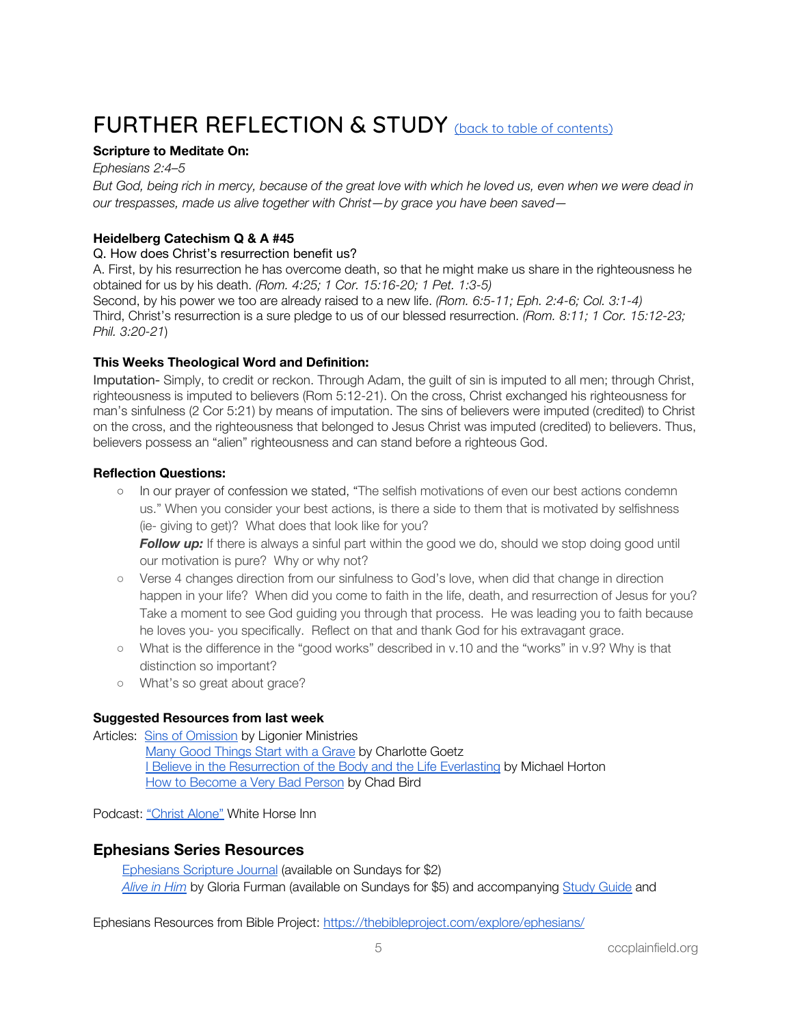## <span id="page-4-0"></span>FURTHER REFLECTION & STUDY (back to table of [contents\)](#page-0-1)

#### **Scripture to Meditate On:**

*Ephesians 2:4–5* But God, being rich in mercy, because of the great love with which he loved us, even when we were dead in *our trespasses, made us alive together with Christ—by grace you have been saved—*

#### **Heidelberg Catechism Q & A #45**

Q. How does Christ's resurrection benefit us?

A. First, by his resurrection he has overcome death, so that he might make us share in the righteousness he obtained for us by his death. *(Rom. 4:25; 1 Cor. 15:16-20; 1 Pet. 1:3-5)*

Second, by his power we too are already raised to a new life. *(Rom. 6:5-[11;](http://bible.oremus.org/?passage=Rom.%206:5-11&version=nrsv) Eph. 2:4-6; Col. 3:1-4)* Third, Christ's resurrection is a sure pledge to us of our blessed resurrection. *(Rom. 8:11; 1 Cor. 15:12-23; Phil. 3:20-21*)

#### **This Weeks Theological Word and Definition:**

Imputation- Simply, to credit or reckon. Through Adam, the guilt of sin is imputed to all men; through Christ, righteousness is imputed to believers (Rom 5:12-21). On the cross, Christ exchanged his righteousness for man's sinfulness (2 Cor 5:21) by means of imputation. The sins of believers were imputed (credited) to Christ on the cross, and the righteousness that belonged to Jesus Christ was imputed (credited) to believers. Thus, believers possess an "alien" righteousness and can stand before a righteous God.

#### **Reflection Questions:**

○ In our prayer of confession we stated, "The selfish motivations of even our best actions condemn us." When you consider your best actions, is there a side to them that is motivated by selfishness (ie- giving to get)? What does that look like for you?

*Follow up:* If there is always a sinful part within the good we do, should we stop doing good until our motivation is pure? Why or why not?

- Verse 4 changes direction from our sinfulness to God's love, when did that change in direction happen in your life? When did you come to faith in the life, death, and resurrection of Jesus for you? Take a moment to see God guiding you through that process. He was leading you to faith because he loves you- you specifically. Reflect on that and thank God for his extravagant grace.
- What is the difference in the "good works" described in v.10 and the "works" in v.9? Why is that distinction so important?
- o What's so great about grace?

#### **Suggested Resources from last week**

Articles: Sins of [Omission](https://www.ligonier.org/learn/devotionals/sins-omission/) by Ligonier Ministries Many Good [Things](http://mbird.com/2018/10/many-good-things-start-with-a-grave/) Start with a Grave by Charlotte Goetz **I Believe in the [Resurrection](https://corechristianity.com/resource-library/articles/i-believe-in-the-resurrection-of-the-body-and-life-everlasting) of the Body and the Life Everlasting by Michael Horton** 

How to [Become](http://www.chadbird.com/blog/2018/8/19/how-to-become-a-very-bad-person) a Very Bad Person by Chad Bird

Podcast: ["Christ](http://tun.in/tieZkY) Alone" White Horse Inn

#### **Ephesians Series Resources**

[Ephesians](https://www.crossway.org/bibles/esv-scripture-journal-ephesians-tpb/) Scripture Journal (available on Sundays for \$2) *[Alive](https://www.crossway.org/books/alive-in-him-tpb/) in Him* by Gloria Furman (available on Sundays for \$5) and accompanying Study [Guide](https://static.crossway.org/excerpt/alive-in-him-study-guide.pdf) and

Ephesians Resources from Bible Project: <https://thebibleproject.com/explore/ephesians/>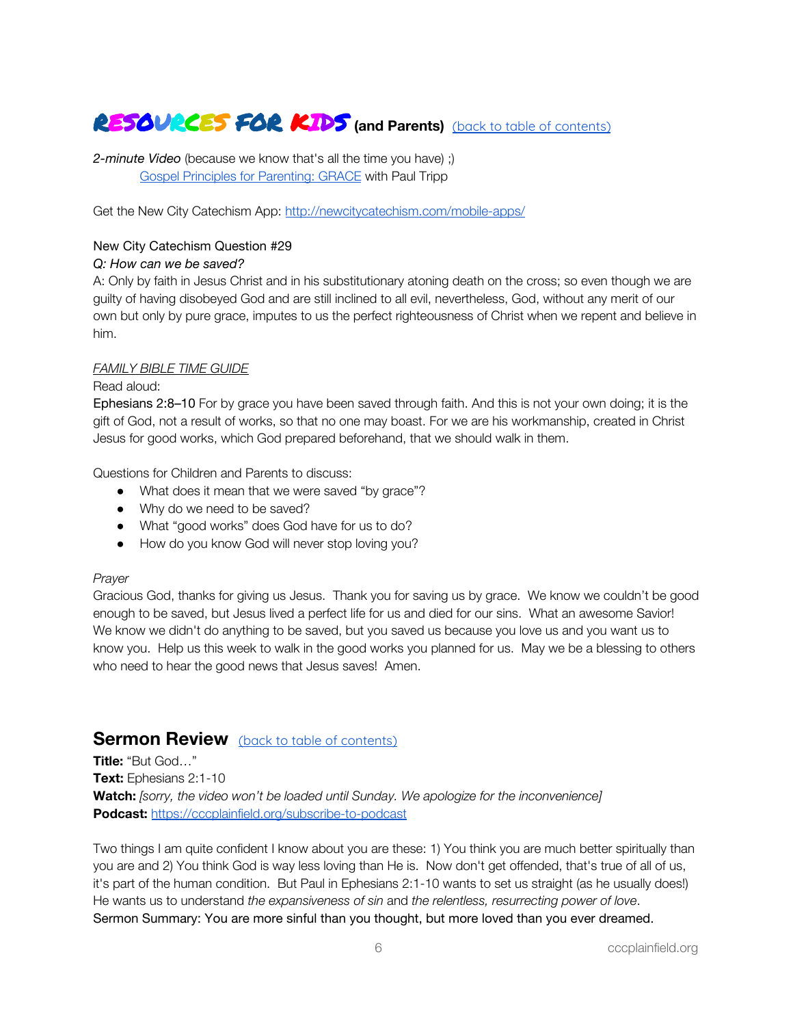### <span id="page-5-0"></span>RESOURCES FOR KIDS **(and Parents)** (back to table of [contents\)](#page-0-1)

*2-minute Video* (because we know that's all the time you have) ;) Gospel Principles for [Parenting:](https://www.paultripp.com/video#!/swx/pp/media_archives/170524/episode/64995) GRACE with Paul Tripp

Get the New City Catechism App: <http://newcitycatechism.com/mobile-apps/>

#### New City Catechism Question #29

#### *Q: How can we be saved?*

A: Only by faith in Jesus Christ and in his substitutionary atoning death on the cross; so even though we are guilty of having disobeyed God and are still inclined to all evil, nevertheless, God, without any merit of our own but only by pure grace, imputes to us the perfect righteousness of Christ when we repent and believe in him.

#### *FAMILY BIBLE TIME GUIDE*

#### Read aloud:

Ephesians 2:8–10 For by grace you have been saved through faith. And this is not your own doing; it is the gift of God, not a result of works, so that no one may boast. For we are his workmanship, created in Christ Jesus for good works, which God prepared beforehand, that we should walk in them.

Questions for Children and Parents to discuss:

- What does it mean that we were saved "by grace"?
- Why do we need to be saved?
- What "good works" does God have for us to do?
- How do you know God will never stop loving you?

#### *Prayer*

Gracious God, thanks for giving us Jesus. Thank you for saving us by grace. We know we couldn't be good enough to be saved, but Jesus lived a perfect life for us and died for our sins. What an awesome Savior! We know we didn't do anything to be saved, but you saved us because you love us and you want us to know you. Help us this week to walk in the good works you planned for us. May we be a blessing to others who need to hear the good news that Jesus saves! Amen.

#### <span id="page-5-1"></span>**Sermon Review** (back to table of [contents\)](#page-0-1)

**Title:** "But God…" **Text:** Ephesians 2:1-10 **Watch:** *[sorry, the video won't be loaded until Sunday. We apologize for the inconvenience]* **Podcast:** <https://cccplainfield.org/subscribe-to-podcast>

Two things I am quite confident I know about you are these: 1) You think you are much better spiritually than you are and 2) You think God is way less loving than He is. Now don't get offended, that's true of all of us, it's part of the human condition. But Paul in Ephesians 2:1-10 wants to set us straight (as he usually does!) He wants us to understand *the expansiveness of sin* and *the relentless, resurrecting power of love*. Sermon Summary: You are more sinful than you thought, but more loved than you ever dreamed.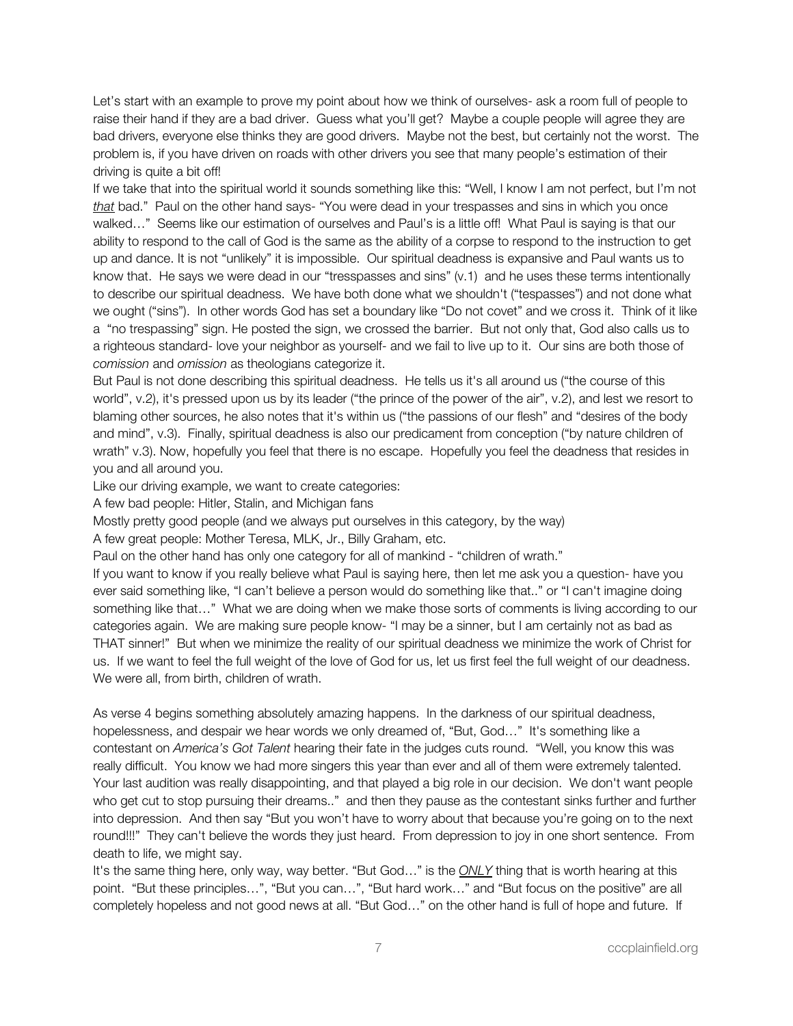Let's start with an example to prove my point about how we think of ourselves- ask a room full of people to raise their hand if they are a bad driver. Guess what you'll get? Maybe a couple people will agree they are bad drivers, everyone else thinks they are good drivers. Maybe not the best, but certainly not the worst. The problem is, if you have driven on roads with other drivers you see that many people's estimation of their driving is quite a bit off!

If we take that into the spiritual world it sounds something like this: "Well, I know I am not perfect, but I'm not *that* bad." Paul on the other hand says- "You were dead in your trespasses and sins in which you once walked…" Seems like our estimation of ourselves and Paul's is a little off! What Paul is saying is that our ability to respond to the call of God is the same as the ability of a corpse to respond to the instruction to get up and dance. It is not "unlikely" it is impossible. Our spiritual deadness is expansive and Paul wants us to know that. He says we were dead in our "tresspasses and sins" (v.1) and he uses these terms intentionally to describe our spiritual deadness. We have both done what we shouldn't ("tespasses") and not done what we ought ("sins"). In other words God has set a boundary like "Do not covet" and we cross it. Think of it like a "no trespassing" sign. He posted the sign, we crossed the barrier. But not only that, God also calls us to a righteous standard- love your neighbor as yourself- and we fail to live up to it. Our sins are both those of *comission* and *omission* as theologians categorize it.

But Paul is not done describing this spiritual deadness. He tells us it's all around us ("the course of this world", v.2), it's pressed upon us by its leader ("the prince of the power of the air", v.2), and lest we resort to blaming other sources, he also notes that it's within us ("the passions of our flesh" and "desires of the body and mind", v.3). Finally, spiritual deadness is also our predicament from conception ("by nature children of wrath" v.3). Now, hopefully you feel that there is no escape. Hopefully you feel the deadness that resides in you and all around you.

Like our driving example, we want to create categories:

A few bad people: Hitler, Stalin, and Michigan fans

Mostly pretty good people (and we always put ourselves in this category, by the way)

A few great people: Mother Teresa, MLK, Jr., Billy Graham, etc.

Paul on the other hand has only one category for all of mankind - "children of wrath."

If you want to know if you really believe what Paul is saying here, then let me ask you a question- have you ever said something like, "I can't believe a person would do something like that.." or "I can't imagine doing something like that…" What we are doing when we make those sorts of comments is living according to our categories again. We are making sure people know- "I may be a sinner, but I am certainly not as bad as THAT sinner!" But when we minimize the reality of our spiritual deadness we minimize the work of Christ for us. If we want to feel the full weight of the love of God for us, let us first feel the full weight of our deadness. We were all, from birth, children of wrath.

As verse 4 begins something absolutely amazing happens. In the darkness of our spiritual deadness, hopelessness, and despair we hear words we only dreamed of, "But, God…" It's something like a contestant on *America's Got Talent* hearing their fate in the judges cuts round. "Well, you know this was really difficult. You know we had more singers this year than ever and all of them were extremely talented. Your last audition was really disappointing, and that played a big role in our decision. We don't want people who get cut to stop pursuing their dreams.." and then they pause as the contestant sinks further and further into depression. And then say "But you won't have to worry about that because you're going on to the next round!!!" They can't believe the words they just heard. From depression to joy in one short sentence. From death to life, we might say.

It's the same thing here, only way, way better. "But God…" is the *ONLY* thing that is worth hearing at this point. "But these principles…", "But you can…", "But hard work…" and "But focus on the positive" are all completely hopeless and not good news at all. "But God…" on the other hand is full of hope and future. If